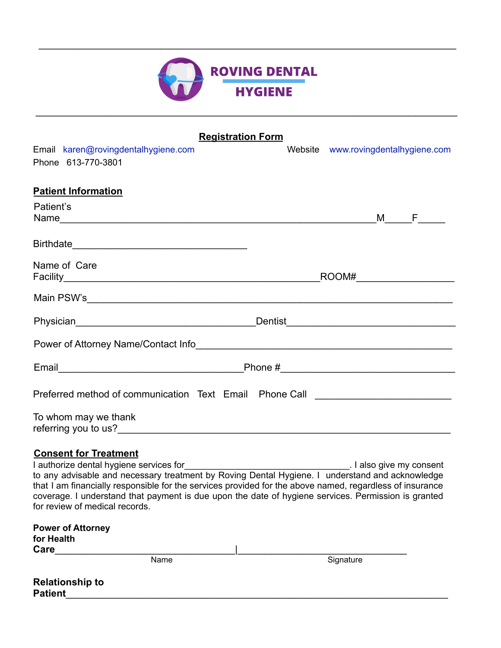

**\_\_\_\_\_\_\_\_\_\_\_\_\_\_\_\_\_\_\_\_\_\_\_\_\_\_\_\_\_\_\_\_\_\_\_\_\_\_\_\_\_\_\_\_\_\_\_\_\_\_\_\_\_\_\_\_\_\_\_\_\_\_\_\_\_\_\_\_\_\_\_\_\_\_\_\_\_\_\_\_\_\_\_\_\_\_\_\_\_\_\_\_\_\_\_\_\_\_\_\_\_\_\_**

**\_\_\_\_\_\_\_\_\_\_\_\_\_\_\_\_\_\_\_\_\_\_\_\_\_\_\_\_\_\_\_\_\_\_\_\_\_\_\_\_\_\_\_\_\_\_\_\_\_\_\_\_\_\_\_\_\_\_\_\_\_\_\_\_\_\_\_\_\_\_\_\_\_\_\_\_\_\_\_\_\_\_\_\_\_\_\_\_\_\_\_\_\_\_\_\_\_\_\_\_\_\_**

| <b>Registration Form</b>                                                         |  |                                     |     |  |  |  |
|----------------------------------------------------------------------------------|--|-------------------------------------|-----|--|--|--|
| Email karen@rovingdentalhygiene.com                                              |  | Website www.rovingdentalhygiene.com |     |  |  |  |
| Phone 613-770-3801                                                               |  |                                     |     |  |  |  |
| <b>Patient Information</b>                                                       |  |                                     |     |  |  |  |
| Patient's                                                                        |  |                                     |     |  |  |  |
|                                                                                  |  |                                     | M F |  |  |  |
|                                                                                  |  |                                     |     |  |  |  |
| Name of Care                                                                     |  |                                     |     |  |  |  |
|                                                                                  |  |                                     |     |  |  |  |
|                                                                                  |  |                                     |     |  |  |  |
|                                                                                  |  |                                     |     |  |  |  |
| Power of Attorney Name/Contact Info                                              |  |                                     |     |  |  |  |
|                                                                                  |  |                                     |     |  |  |  |
| Preferred method of communication Text Email Phone Call ________________________ |  |                                     |     |  |  |  |
| To whom may we thank                                                             |  |                                     |     |  |  |  |

## **Consent for Treatment**

I authorize dental hygiene services for\_\_\_\_\_\_\_\_\_\_\_\_\_\_\_\_\_\_\_\_\_\_\_\_\_\_\_\_\_\_\_\_\_. I also give my consent to any advisable and necessary treatment by Roving Dental Hygiene. I understand and acknowledge that I am financially responsible for the services provided for the above named, regardless of insurance coverage. I understand that payment is due upon the date of hygiene services. Permission is granted for review of medical records.

| <b>Power of Attorney</b><br>for Health   |      |           |
|------------------------------------------|------|-----------|
| Care                                     |      |           |
|                                          | Name | Signature |
| <b>Relationship to</b><br><b>Patient</b> |      |           |